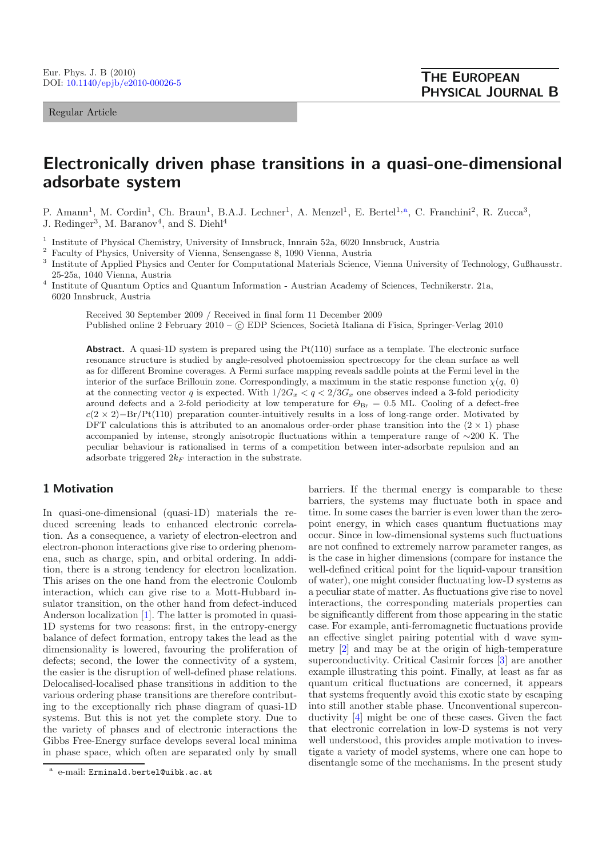Regular Article

# **Electronically driven phase transitions in a quasi-one-dimensional adsorbate system**

P. Amann<sup>1</sup>, M. Cordin<sup>1</sup>, Ch. Braun<sup>1</sup>, B.A.J. Lechner<sup>1</sup>, A. Menzel<sup>1</sup>, E. Bertel<sup>1,a</sup>, C. Franchini<sup>2</sup>, R. Zucca<sup>3</sup>, J. Redinger<sup>3</sup>, M. Baranov<sup>4</sup>, and S. Diehl<sup>4</sup>

- <sup>1</sup> Institute of Physical Chemistry, University of Innsbruck, Innrain 52a, 6020 Innsbruck, Austria
- <sup>2</sup> Faculty of Physics, University of Vienna, Sensengasse 8, 1090 Vienna, Austria
- <sup>3</sup> Institute of Applied Physics and Center for Computational Materials Science, Vienna University of Technology, Gußhausstr. 25-25a, 1040 Vienna, Austria
- <sup>4</sup> Institute of Quantum Optics and Quantum Information Austrian Academy of Sciences, Technikerstr. 21a, 6020 Innsbruck, Austria

Received 30 September 2009 / Received in final form 11 December 2009 Published online 2 February 2010 –  $\odot$  EDP Sciences, Società Italiana di Fisica, Springer-Verlag 2010

**Abstract.** A quasi-1D system is prepared using the  $Pt(110)$  surface as a template. The electronic surface resonance structure is studied by angle-resolved photoemission spectroscopy for the clean surface as well as for different Bromine coverages. A Fermi surface mapping reveals saddle points at the Fermi level in the interior of the surface Brillouin zone. Correspondingly, a maximum in the static response function  $\chi(q, 0)$ at the connecting vector q is expected. With  $1/2G_x < q < 2/3G_x$  one observes indeed a 3-fold periodicity around defects and a 2-fold periodicity at low temperature for  $\Theta_{\rm Br} = 0.5$  ML. Cooling of a defect-free  $c(2 \times 2) - Br/Pt(110)$  preparation counter-intuitively results in a loss of long-range order. Motivated by DFT calculations this is attributed to an anomalous order-order phase transition into the  $(2 \times 1)$  phase accompanied by intense, strongly anisotropic fluctuations within a temperature range of ∼200 K. The peculiar behaviour is rationalised in terms of a competition between inter-adsorbate repulsion and an adsorbate triggered 2k*<sup>F</sup>* interaction in the substrate.

### **1 Motivation**

In quasi-one-dimensional (quasi-1D) materials the reduced screening leads to enhanced electronic correlation. As a consequence, a variety of electron-electron and electron-phonon interactions give rise to ordering phenomena, such as charge, spin, and orbital ordering. In addition, there is a strong tendency for electron localization. This arises on the one hand from the electronic Coulomb interaction, which can give rise to a Mott-Hubbard insulator transition, on the other hand from defect-induced Anderson localization [\[1](#page-7-0)]. The latter is promoted in quasi-1D systems for two reasons: first, in the entropy-energy balance of defect formation, entropy takes the lead as the dimensionality is lowered, favouring the proliferation of defects; second, the lower the connectivity of a system, the easier is the disruption of well-defined phase relations. Delocalised-localised phase transitions in addition to the various ordering phase transitions are therefore contributing to the exceptionally rich phase diagram of quasi-1D systems. But this is not yet the complete story. Due to the variety of phases and of electronic interactions the Gibbs Free-Energy surface develops several local minima in phase space, which often are separated only by small

barriers. If the thermal energy is comparable to these barriers, the systems may fluctuate both in space and time. In some cases the barrier is even lower than the zeropoint energy, in which cases quantum fluctuations may occur. Since in low-dimensional systems such fluctuations are not confined to extremely narrow parameter ranges, as is the case in higher dimensions (compare for instance the well-defined critical point for the liquid-vapour transition of water), one might consider fluctuating low-D systems as a peculiar state of matter. As fluctuations give rise to novel interactions, the corresponding materials properties can be significantly different from those appearing in the static case. For example, anti-ferromagnetic fluctuations provide an effective singlet pairing potential with d wave symmetry [\[2\]](#page-7-1) and may be at the origin of high-temperature superconductivity. Critical Casimir forces [\[3\]](#page-7-2) are another example illustrating this point. Finally, at least as far as quantum critical fluctuations are concerned, it appears that systems frequently avoid this exotic state by escaping into still another stable phase. Unconventional superconductivity [\[4\]](#page-7-3) might be one of these cases. Given the fact that electronic correlation in low-D systems is not very well understood, this provides ample motivation to investigate a variety of model systems, where one can hope to disentangle some of the mechanisms. In the present study

e-mail: Erminald.bertel@uibk.ac.at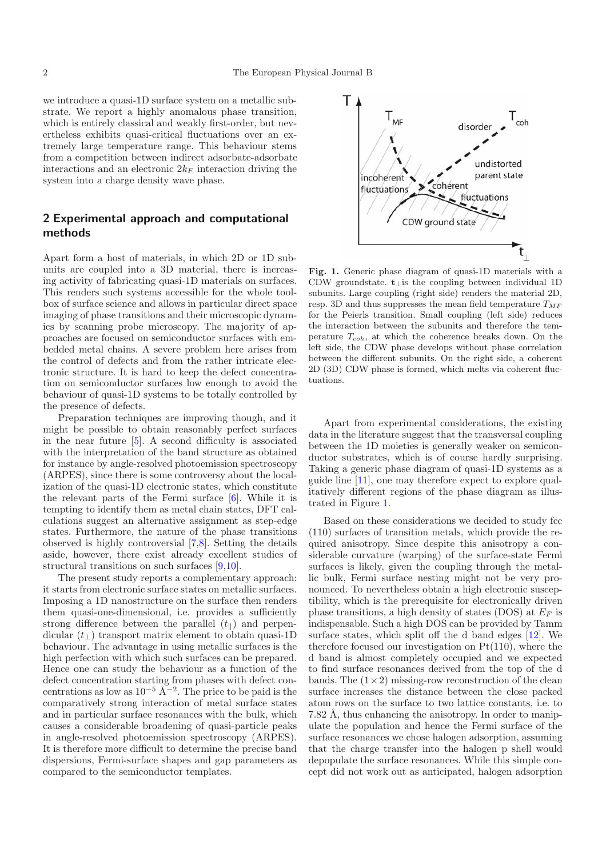we introduce a quasi-1D surface system on a metallic substrate. We report a highly anomalous phase transition, which is entirely classical and weakly first-order, but nevertheless exhibits quasi-critical fluctuations over an extremely large temperature range. This behaviour stems from a competition between indirect adsorbate-adsorbate interactions and an electronic  $2k<sub>F</sub>$  interaction driving the system into a charge density wave phase.

#### **2 Experimental approach and computational methods**

Apart form a host of materials, in which 2D or 1D subunits are coupled into a 3D material, there is increasing activity of fabricating quasi-1D materials on surfaces. This renders such systems accessible for the whole toolbox of surface science and allows in particular direct space imaging of phase transitions and their microscopic dynamics by scanning probe microscopy. The majority of approaches are focused on semiconductor surfaces with embedded metal chains. A severe problem here arises from the control of defects and from the rather intricate electronic structure. It is hard to keep the defect concentration on semiconductor surfaces low enough to avoid the behaviour of quasi-1D systems to be totally controlled by the presence of defects.

Preparation techniques are improving though, and it might be possible to obtain reasonably perfect surfaces in the near future [\[5\]](#page-7-4). A second difficulty is associated with the interpretation of the band structure as obtained for instance by angle-resolved photoemission spectroscopy (ARPES), since there is some controversy about the localization of the quasi-1D electronic states, which constitute the relevant parts of the Fermi surface [\[6](#page-7-5)]. While it is tempting to identify them as metal chain states, DFT calculations suggest an alternative assignment as step-edge states. Furthermore, the nature of the phase transitions observed is highly controversial [\[7](#page-7-6)[,8](#page-7-7)]. Setting the details aside, however, there exist already excellent studies of structural transitions on such surfaces [\[9](#page-7-8)[,10\]](#page-7-9).

The present study reports a complementary approach: it starts from electronic surface states on metallic surfaces. Imposing a 1D nanostructure on the surface then renders them quasi-one-dimensional, i.e. provides a sufficiently strong difference between the parallel  $(t_{\parallel})$  and perpendicular  $(t_{\perp})$  transport matrix element to obtain quasi-1D behaviour. The advantage in using metallic surfaces is the high perfection with which such surfaces can be prepared. Hence one can study the behaviour as a function of the defect concentration starting from phases with defect concentrations as low as  $10^{-5} \text{ Å}^{-2}$ . The price to be paid is the comparatively strong interaction of metal surface states and in particular surface resonances with the bulk, which causes a considerable broadening of quasi-particle peaks in angle-resolved photoemission spectroscopy (ARPES). It is therefore more difficult to determine the precise band dispersions, Fermi-surface shapes and gap parameters as compared to the semiconductor templates.

<span id="page-1-0"></span>

Fig. 1. Generic phase diagram of quasi-1D materials with a CDW groundstate. **<sup>t</sup>**<sup>⊥</sup>is the coupling between individual 1D subunits. Large coupling (right side) renders the material 2D, resp. 3D and thus suppresses the mean field temperature T*MF* for the Peierls transition. Small coupling (left side) reduces the interaction between the subunits and therefore the temperature T*coh*, at which the coherence breaks down. On the left side, the CDW phase develops without phase correlation between the different subunits. On the right side, a coherent 2D (3D) CDW phase is formed, which melts via coherent fluctuations.

Apart from experimental considerations, the existing data in the literature suggest that the transversal coupling between the 1D moieties is generally weaker on semiconductor substrates, which is of course hardly surprising. Taking a generic phase diagram of quasi-1D systems as a guide line [\[11](#page-7-10)], one may therefore expect to explore qualitatively different regions of the phase diagram as illustrated in Figure [1.](#page-1-0)

Based on these considerations we decided to study fcc (110) surfaces of transition metals, which provide the required anisotropy. Since despite this anisotropy a considerable curvature (warping) of the surface-state Fermi surfaces is likely, given the coupling through the metallic bulk, Fermi surface nesting might not be very pronounced. To nevertheless obtain a high electronic susceptibility, which is the prerequisite for electronically driven phase transitions, a high density of states (DOS) at E*<sup>F</sup>* is indispensable. Such a high DOS can be provided by Tamm surface states, which split off the d band edges [\[12\]](#page-7-11). We therefore focused our investigation on  $Pt(110)$ , where the d band is almost completely occupied and we expected to find surface resonances derived from the top of the d bands. The  $(1 \times 2)$  missing-row reconstruction of the clean surface increases the distance between the close packed atom rows on the surface to two lattice constants, i.e. to 7.82 Å, thus enhancing the anisotropy. In order to manipulate the population and hence the Fermi surface of the surface resonances we chose halogen adsorption, assuming that the charge transfer into the halogen p shell would depopulate the surface resonances. While this simple concept did not work out as anticipated, halogen adsorption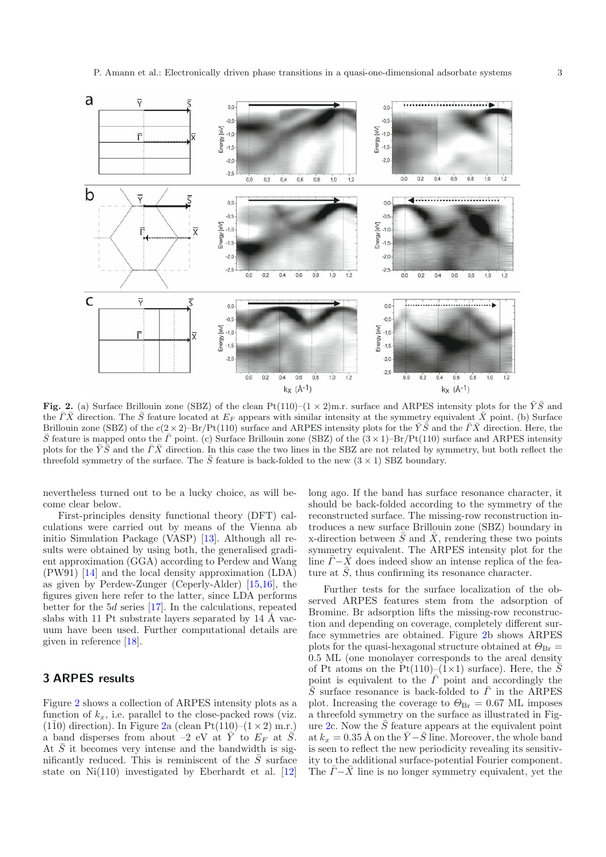

<span id="page-2-0"></span>**Fig. 2.** (a) Surface Brillouin zone (SBZ) of the clean Pt(110)–(1 × 2)m.r. surface and ARPES intensity plots for the  $\overline{Y}\overline{S}$  and the  $\bar{r}\bar{X}$  direction. The  $\bar{S}$  feature located at  $E_F$  appears with similar intensity at the symmetry equivalent  $\bar{X}$  point. (b) Surface Brillouin zone (SBZ) of the  $c(2\times2)$ –Br/Pt(110) surface and ARPES intensity plots for the  $\overline{Y}\overline{S}$  and the  $\overline{Y}\overline{X}$  direction. Here, the  $\bar{S}$  feature is mapped onto the  $\bar{\Gamma}$  point. (c) Surface Brillouin zone (SBZ) of the  $(3 \times 1)$ –Br/Pt(110) surface and ARPES intensity plots for the  $\overline{Y}\overline{S}$  and the  $\overline{I}\overline{X}$  direction. In this case the two lines in the SBZ are not related by symmetry, but both reflect the threefold symmetry of the surface. The  $\overline{S}$  feature is back-folded to the new (3 × 1) SBZ boundary.

nevertheless turned out to be a lucky choice, as will become clear below.

First-principles density functional theory (DFT) calculations were carried out by means of the Vienna ab initio Simulation Package (VASP) [\[13](#page-7-12)]. Although all results were obtained by using both, the generalised gradient approximation (GGA) according to Perdew and Wang (PW91) [\[14](#page-7-13)] and the local density approximation (LDA) as given by Perdew-Zunger (Ceperly-Alder) [\[15](#page-7-14)[,16\]](#page-7-15), the figures given here refer to the latter, since LDA performs better for the 5d series [\[17\]](#page-7-16). In the calculations, repeated slabs with 11 Pt substrate layers separated by  $14 \text{ A}$  vacuum have been used. Further computational details are given in reference [\[18](#page-7-17)].

#### **3 ARPES results**

Figure [2](#page-2-0) shows a collection of ARPES intensity plots as a function of  $k_x$ , i.e. parallel to the close-packed rows (viz. (1 $\overline{10}$ ) direction). In Figure [2a](#page-2-0) (clean Pt(110)–(1 × 2) m.r.) a band disperses from about  $-2$  eV at  $\overline{Y}$  to  $E_F$  at  $\overline{S}$ . At  $\overline{S}$  it becomes very intense and the bandwidth is significantly reduced. This is reminiscent of the  $\overline{S}$  surface state on Ni(110) investigated by Eberhardt et al. [\[12\]](#page-7-11)

long ago. If the band has surface resonance character, it should be back-folded according to the symmetry of the reconstructed surface. The missing-row reconstruction introduces a new surface Brillouin zone (SBZ) boundary in x-direction between  $\overline{S}$  and  $\overline{X}$ , rendering these two points symmetry equivalent. The ARPES intensity plot for the line  $\bar{\Gamma}-\bar{X}$  does indeed show an intense replica of the feature at  $\overline{S}$ , thus confirming its resonance character.

Further tests for the surface localization of the observed ARPES features stem from the adsorption of Bromine. Br adsorption lifts the missing-row reconstruction and depending on coverage, completely different surface symmetries are obtained. Figure [2b](#page-2-0) shows ARPES plots for the quasi-hexagonal structure obtained at  $\Theta_{\text{Br}} =$ 0.5 ML (one monolayer corresponds to the areal density of Pt atoms on the Pt(110)–(1×1) surface). Here, the  $\overline{S}$ point is equivalent to the  $\overline{\Gamma}$  point and accordingly the  $\bar{S}$  surface resonance is back-folded to  $\bar{\Gamma}$  in the ARPES plot. Increasing the coverage to  $\Theta_{\text{Br}} = 0.67$  ML imposes a threefold symmetry on the surface as illustrated in Fig-ure [2c](#page-2-0). Now the  $\overline{S}$  feature appears at the equivalent point at  $k_x = 0.35 \text{ Å}$  on the  $\bar{Y} - \bar{S}$  line. Moreover, the whole band is seen to reflect the new periodicity revealing its sensitivity to the additional surface-potential Fourier component. The  $\overline{\Gamma}-\overline{X}$  line is no longer symmetry equivalent, yet the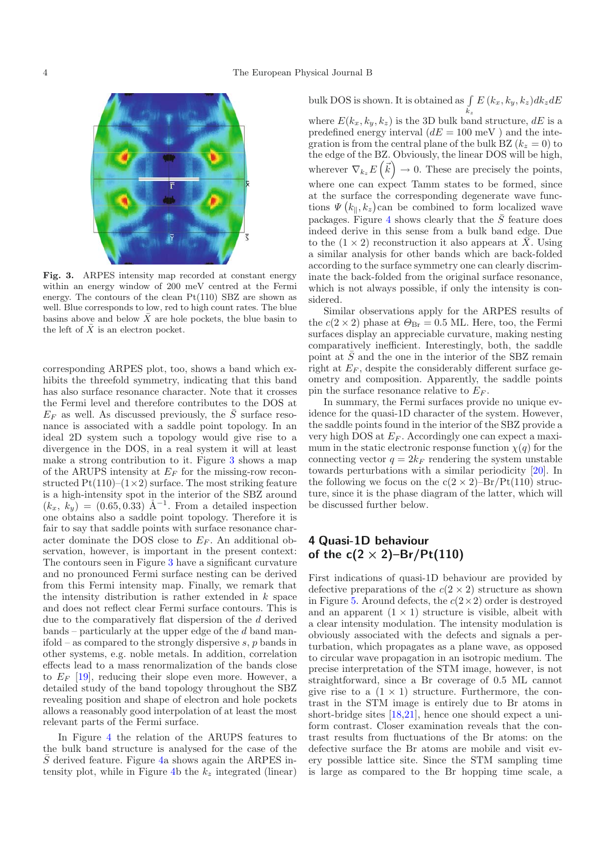<span id="page-3-0"></span>

**Fig. 3.** ARPES intensity map recorded at constant energy within an energy window of 200 meV centred at the Fermi energy. The contours of the clean Pt(110) SBZ are shown as well. Blue corresponds to low, red to high count rates. The blue basins above and below  $\bar{X}$  are hole pockets, the blue basin to the left of  $\bar{X}$  is an electron pocket.

corresponding ARPES plot, too, shows a band which exhibits the threefold symmetry, indicating that this band has also surface resonance character. Note that it crosses the Fermi level and therefore contributes to the DOS at  $E_F$  as well. As discussed previously, the  $\overline{S}$  surface resonance is associated with a saddle point topology. In an ideal 2D system such a topology would give rise to a divergence in the DOS, in a real system it will at least make a strong contribution to it. Figure [3](#page-3-0) shows a map of the ARUPS intensity at E*<sup>F</sup>* for the missing-row reconstructed  $Pt(110)–(1\times2)$  surface. The most striking feature is a high-intensity spot in the interior of the SBZ around  $(k_x, k_y) = (0.65, 0.33) \text{ Å}^{-1}$ . From a detailed inspection one obtains also a saddle point topology. Therefore it is fair to say that saddle points with surface resonance character dominate the DOS close to  $E_F$ . An additional observation, however, is important in the present context: The contours seen in Figure [3](#page-3-0) have a significant curvature and no pronounced Fermi surface nesting can be derived from this Fermi intensity map. Finally, we remark that the intensity distribution is rather extended in  $k$  space and does not reflect clear Fermi surface contours. This is due to the comparatively flat dispersion of the d derived  $bands - particularly at the upper edge of the d band man$  $ifold - as compared to the strongly dispersive s, p bands in$ other systems, e.g. noble metals. In addition, correlation effects lead to a mass renormalization of the bands close to  $E_F$  [\[19\]](#page-7-18), reducing their slope even more. However, a detailed study of the band topology throughout the SBZ revealing position and shape of electron and hole pockets allows a reasonably good interpolation of at least the most relevant parts of the Fermi surface.

In Figure [4](#page-4-0) the relation of the ARUPS features to the bulk band structure is analysed for the case of the  $\overline{S}$  derived feature. Figure [4a](#page-4-0) shows again the ARPES in-tensity plot, while in Figure [4b](#page-4-0) the  $k_z$  integrated (linear)

bulk DOS is shown. It is obtained as  $\int E(k_x, k_y, k_z) dk_z dE$  $k_z$ where  $E(k_x, k_y, k_z)$  is the 3D bulk band structure,  $dE$  is a predefined energy interval  $(dE = 100 \text{ meV})$  and the integration is from the central plane of the bulk  $BZ (k_z = 0)$  to the edge of the BZ. Obviously, the linear DOS will be high, wherever  $\nabla_{k_z} E\left(\vec{k}\right) \to 0$ . These are precisely the points, where one can expect Tamm states to be formed, since at the surface the corresponding degenerate wave functions  $\Psi\left(k_{\parallel}, k_{z}\right)$  can be combined to form localized wave packages. Figure [4](#page-4-0) shows clearly that the  $\overline{S}$  feature does indeed derive in this sense from a bulk band edge. Due to the  $(1 \times 2)$  reconstruction it also appears at  $\overline{X}$ . Using a similar analysis for other bands which are back-folded according to the surface symmetry one can clearly discriminate the back-folded from the original surface resonance, which is not always possible, if only the intensity is considered.

Similar observations apply for the ARPES results of the  $c(2 \times 2)$  phase at  $\Theta_{\text{Br}} = 0.5$  ML. Here, too, the Fermi surfaces display an appreciable curvature, making nesting comparatively inefficient. Interestingly, both, the saddle point at  $\overline{S}$  and the one in the interior of the SBZ remain right at  $E_F$ , despite the considerably different surface geometry and composition. Apparently, the saddle points pin the surface resonance relative to  $E_F$ .

In summary, the Fermi surfaces provide no unique evidence for the quasi-1D character of the system. However, the saddle points found in the interior of the SBZ provide a very high DOS at E*<sup>F</sup>* . Accordingly one can expect a maximum in the static electronic response function  $\chi(q)$  for the connecting vector  $q = 2k_F$  rendering the system unstable towards perturbations with a similar periodicity [\[20\]](#page-7-19). In the following we focus on the  $c(2 \times 2)$ –Br/Pt(110) structure, since it is the phase diagram of the latter, which will be discussed further below.

## **4 Quasi-1D behaviour of the c(2** *×* **2)–Br/Pt(110)**

First indications of quasi-1D behaviour are provided by defective preparations of the  $c(2 \times 2)$  structure as shown in Figure [5.](#page-4-1) Around defects, the  $c(2\times2)$  order is destroyed and an apparent  $(1 \times 1)$  structure is visible, albeit with a clear intensity modulation. The intensity modulation is obviously associated with the defects and signals a perturbation, which propagates as a plane wave, as opposed to circular wave propagation in an isotropic medium. The precise interpretation of the STM image, however, is not straightforward, since a Br coverage of 0.5 ML cannot give rise to a  $(1 \times 1)$  structure. Furthermore, the contrast in the STM image is entirely due to Br atoms in short-bridge sites [\[18](#page-7-17)[,21](#page-7-20)], hence one should expect a uniform contrast. Closer examination reveals that the contrast results from fluctuations of the Br atoms: on the defective surface the Br atoms are mobile and visit every possible lattice site. Since the STM sampling time is large as compared to the Br hopping time scale, a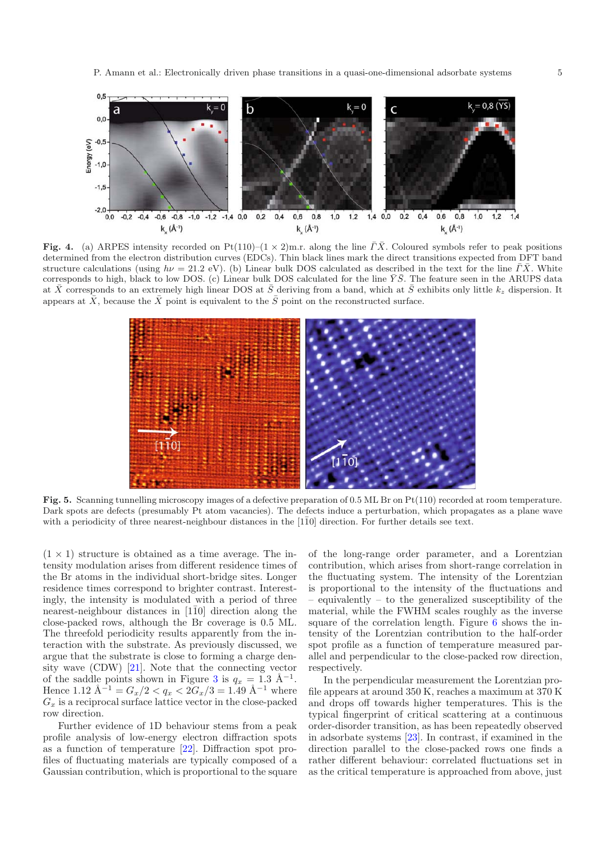<span id="page-4-0"></span>

<span id="page-4-1"></span>**Fig. 4.** (a) ARPES intensity recorded on Pt(110)–(1 × 2)m.r. along the line  $\overline{I}\overline{X}$ . Coloured symbols refer to peak positions determined from the electron distribution curves (EDCs). Thin black lines mark the direct transitions expected from DFT band structure calculations (using  $h\nu = 21.2$  eV). (b) Linear bulk DOS calculated as described in the text for the line  $\overline{r}\overline{X}$ . White corresponds to high, black to low DOS. (c) Linear bulk DOS calculated for the line  $\bar{Y}\bar{S}$ . The feature seen in the ARUPS data at  $\bar{X}$  corresponds to an extremely high linear DOS at  $\bar{S}$  deriving from a band, which at  $\bar{S}$  exhibits only little  $k_z$  dispersion. It appears at  $\bar{X}$ , because the  $\bar{X}$  point is equivalent to the  $\bar{S}$  point on the reconstructed surface.



**Fig. 5.** Scanning tunnelling microscopy images of a defective preparation of 0.5 ML Br on Pt(110) recorded at room temperature. Dark spots are defects (presumably Pt atom vacancies). The defects induce a perturbation, which propagates as a plane wave with a periodicity of three nearest-neighbour distances in the  $[1\overline{1}0]$  direction. For further details see text.

 $(1 \times 1)$  structure is obtained as a time average. The intensity modulation arises from different residence times of the Br atoms in the individual short-bridge sites. Longer residence times correspond to brighter contrast. Interestingly, the intensity is modulated with a period of three nearest-neighbour distances in  $[1\bar{1}0]$  direction along the close-packed rows, although the Br coverage is 0.5 ML. The threefold periodicity results apparently from the interaction with the substrate. As previously discussed, we argue that the substrate is close to forming a charge density wave (CDW) [\[21\]](#page-7-20). Note that the connecting vector of the saddle points shown in Figure [3](#page-3-0) is  $q_x = 1.3 \text{ Å}^{-1}$ . Hence  $1.12 \text{ Å}^{-1} = G_x/2 < q_x < 2 \text{G}_x/3 = 1.49 \text{ Å}^{-1}$  where  $G_x$  is a reciprocal surface lattice vector in the close-packed row direction.

Further evidence of 1D behaviour stems from a peak profile analysis of low-energy electron diffraction spots as a function of temperature [\[22](#page-7-21)]. Diffraction spot profiles of fluctuating materials are typically composed of a Gaussian contribution, which is proportional to the square

of the long-range order parameter, and a Lorentzian contribution, which arises from short-range correlation in the fluctuating system. The intensity of the Lorentzian is proportional to the intensity of the fluctuations and equivalently – to the generalized susceptibility of the material, while the FWHM scales roughly as the inverse square of the correlation length. Figure [6](#page-5-0) shows the intensity of the Lorentzian contribution to the half-order spot profile as a function of temperature measured parallel and perpendicular to the close-packed row direction, respectively.

In the perpendicular measurement the Lorentzian profile appears at around 350 K, reaches a maximum at 370 K and drops off towards higher temperatures. This is the typical fingerprint of critical scattering at a continuous order-disorder transition, as has been repeatedly observed in adsorbate systems [\[23\]](#page-7-22). In contrast, if examined in the direction parallel to the close-packed rows one finds a rather different behaviour: correlated fluctuations set in as the critical temperature is approached from above, just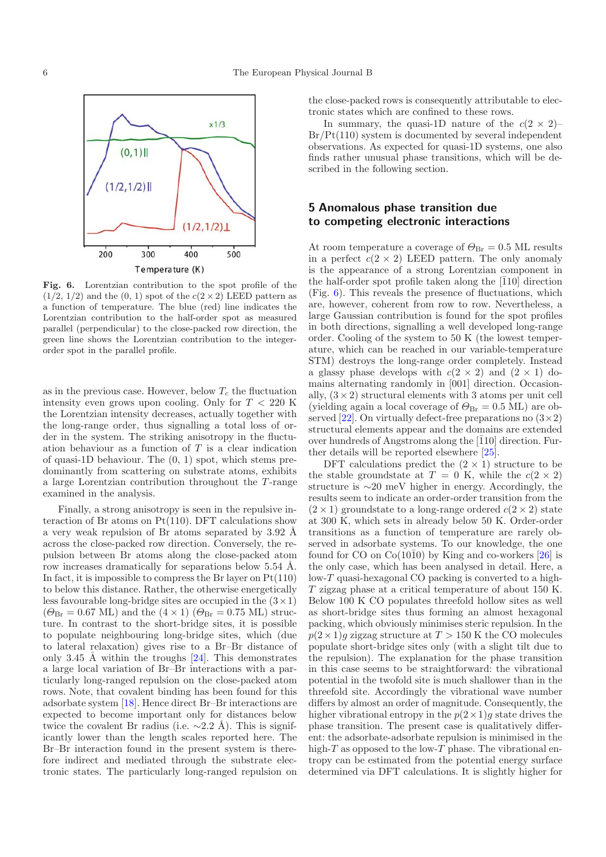<span id="page-5-0"></span>

**Fig. 6.** Lorentzian contribution to the spot profile of the  $(1/2, 1/2)$  and the  $(0, 1)$  spot of the  $c(2 \times 2)$  LEED pattern as a function of temperature. The blue (red) line indicates the Lorentzian contribution to the half-order spot as measured parallel (perpendicular) to the close-packed row direction, the green line shows the Lorentzian contribution to the integerorder spot in the parallel profile.

as in the previous case. However, below  $T_c$  the fluctuation intensity even grows upon cooling. Only for  $T < 220$  K the Lorentzian intensity decreases, actually together with the long-range order, thus signalling a total loss of order in the system. The striking anisotropy in the fluctuation behaviour as a function of  $T$  is a clear indication of quasi-1D behaviour. The (0, 1) spot, which stems predominantly from scattering on substrate atoms, exhibits a large Lorentzian contribution throughout the  $T$ -range examined in the analysis.

Finally, a strong anisotropy is seen in the repulsive interaction of Br atoms on  $Pt(110)$ . DFT calculations show a very weak repulsion of Br atoms separated by  $3.92 \text{ Å}$ across the close-packed row direction. Conversely, the repulsion between Br atoms along the close-packed atom row increases dramatically for separations below 5.54 Å. In fact, it is impossible to compress the Br layer on  $Pt(110)$ to below this distance. Rather, the otherwise energetically less favourable long-bridge sites are occupied in the  $(3 \times 1)$  $(\Theta_{\text{Br}} = 0.67 \text{ ML})$  and the  $(4 \times 1)$   $(\Theta_{\text{Br}} = 0.75 \text{ ML})$  structure. In contrast to the short-bridge sites, it is possible to populate neighbouring long-bridge sites, which (due to lateral relaxation) gives rise to a Br–Br distance of only 3.45 Å within the troughs  $[24]$ . This demonstrates a large local variation of Br–Br interactions with a particularly long-ranged repulsion on the close-packed atom rows. Note, that covalent binding has been found for this adsorbate system [\[18\]](#page-7-17). Hence direct Br–Br interactions are expected to become important only for distances below twice the covalent Br radius (i.e.  $\sim$ 2.2 Å). This is significantly lower than the length scales reported here. The Br–Br interaction found in the present system is therefore indirect and mediated through the substrate electronic states. The particularly long-ranged repulsion on

the close-packed rows is consequently attributable to electronic states which are confined to these rows.

In summary, the quasi-1D nature of the  $c(2 \times 2)$ –  $Br/Pt(110)$  system is documented by several independent observations. As expected for quasi-1D systems, one also finds rather unusual phase transitions, which will be described in the following section.

### **5 Anomalous phase transition due to competing electronic interactions**

At room temperature a coverage of  $\Theta_{\text{Br}} = 0.5$  ML results in a perfect  $c(2 \times 2)$  LEED pattern. The only anomaly is the appearance of a strong Lorentzian component in the half-order spot profile taken along the  $[110]$  direction (Fig. [6\)](#page-5-0). This reveals the presence of fluctuations, which are, however, coherent from row to row. Nevertheless, a large Gaussian contribution is found for the spot profiles in both directions, signalling a well developed long-range order. Cooling of the system to 50 K (the lowest temperature, which can be reached in our variable-temperature STM) destroys the long-range order completely. Instead a glassy phase develops with  $c(2 \times 2)$  and  $(2 \times 1)$  domains alternating randomly in [001] direction. Occasionally,  $(3 \times 2)$  structural elements with 3 atoms per unit cell (yielding again a local coverage of  $\Theta_{\text{Br}} = 0.5$  ML) are ob-served [\[22](#page-7-21)]. On virtually defect-free preparations no  $(3\times2)$ structural elements appear and the domains are extended over hundreds of Angstroms along the  $\overline{1}10$  direction. Further details will be reported elsewhere [\[25](#page-7-24)].

DFT calculations predict the  $(2 \times 1)$  structure to be the stable groundstate at  $T = 0$  K, while the  $c(2 \times 2)$ structure is ∼20 meV higher in energy. Accordingly, the results seem to indicate an order-order transition from the  $(2 \times 1)$  groundstate to a long-range ordered  $c(2 \times 2)$  state at 300 K, which sets in already below 50 K. Order-order transitions as a function of temperature are rarely observed in adsorbate systems. To our knowledge, the one found for CO on  $Co(10\overline{1}0)$  by King and co-workers [\[26\]](#page-7-25) is the only case, which has been analysed in detail. Here, a low-T quasi-hexagonal CO packing is converted to a high-T zigzag phase at a critical temperature of about 150 K. Below 100 K CO populates threefold hollow sites as well as short-bridge sites thus forming an almost hexagonal packing, which obviously minimises steric repulsion. In the  $p(2\times1)$ g zigzag structure at  $T > 150$  K the CO molecules populate short-bridge sites only (with a slight tilt due to the repulsion). The explanation for the phase transition in this case seems to be straightforward: the vibrational potential in the twofold site is much shallower than in the threefold site. Accordingly the vibrational wave number differs by almost an order of magnitude. Consequently, the higher vibrational entropy in the  $p(2\times1)q$  state drives the phase transition. The present case is qualitatively different: the adsorbate-adsorbate repulsion is minimised in the high- $T$  as opposed to the low- $T$  phase. The vibrational entropy can be estimated from the potential energy surface determined via DFT calculations. It is slightly higher for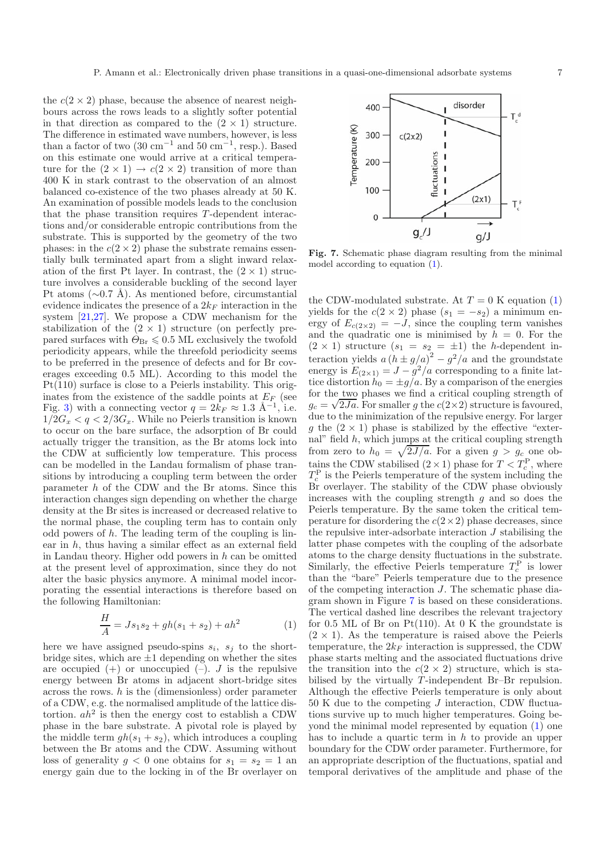the  $c(2 \times 2)$  phase, because the absence of nearest neighbours across the rows leads to a slightly softer potential in that direction as compared to the  $(2 \times 1)$  structure. The difference in estimated wave numbers, however, is less than a factor of two  $(30 \text{ cm}^{-1} \text{ and } 50 \text{ cm}^{-1}, \text{resp.})$ . Based on this estimate one would arrive at a critical temperature for the  $(2 \times 1) \rightarrow c(2 \times 2)$  transition of more than 400 K in stark contrast to the observation of an almost balanced co-existence of the two phases already at 50 K. An examination of possible models leads to the conclusion that the phase transition requires T -dependent interactions and/or considerable entropic contributions from the substrate. This is supported by the geometry of the two phases: in the  $c(2 \times 2)$  phase the substrate remains essentially bulk terminated apart from a slight inward relaxation of the first Pt layer. In contrast, the  $(2 \times 1)$  structure involves a considerable buckling of the second layer Pt atoms  $(\sim 0.7 \text{ Å})$ . As mentioned before, circumstantial evidence indicates the presence of a  $2k_F$  interaction in the system [\[21](#page-7-20)[,27\]](#page-7-26). We propose a CDW mechanism for the stabilization of the  $(2 \times 1)$  structure (on perfectly prepared surfaces with  $\Theta_{\text{Br}} \leqslant 0.5$  ML exclusively the twofold periodicity appears, while the threefold periodicity seems to be preferred in the presence of defects and for Br coverages exceeding 0.5 ML). According to this model the Pt(110) surface is close to a Peierls instability. This originates from the existence of the saddle points at  $E_F$  (see Fig. [3\)](#page-3-0) with a connecting vector  $q = 2k_F \approx 1.3 \text{ Å}^{-1}$ , i.e.  $1/2G_x < q < 2/3G_x$ . While no Peierls transition is known to occur on the bare surface, the adsorption of Br could actually trigger the transition, as the Br atoms lock into the CDW at sufficiently low temperature. This process can be modelled in the Landau formalism of phase transitions by introducing a coupling term between the order parameter h of the CDW and the Br atoms. Since this interaction changes sign depending on whether the charge density at the Br sites is increased or decreased relative to the normal phase, the coupling term has to contain only odd powers of  $h$ . The leading term of the coupling is linear in  $h$ , thus having a similar effect as an external field in Landau theory. Higher odd powers in  $h$  can be omitted at the present level of approximation, since they do not alter the basic physics anymore. A minimal model incorporating the essential interactions is therefore based on the following Hamiltonian:

<span id="page-6-0"></span>
$$
\frac{H}{A} = Js_1s_2 + gh(s_1 + s_2) + ah^2 \tag{1}
$$

here we have assigned pseudo-spins  $s_i$ ,  $s_j$  to the shortbridge sites, which are  $\pm 1$  depending on whether the sites are occupied  $(+)$  or unoccupied  $(-)$ . J is the repulsive energy between Br atoms in adjacent short-bridge sites across the rows.  $h$  is the (dimensionless) order parameter of a CDW, e.g. the normalised amplitude of the lattice distortion.  $ah^2$  is then the energy cost to establish a CDW phase in the bare substrate. A pivotal role is played by the middle term  $gh(s_1 + s_2)$ , which introduces a coupling between the Br atoms and the CDW. Assuming without loss of generality  $g < 0$  one obtains for  $s_1 = s_2 = 1$  and energy gain due to the locking in of the Br overlayer on

<span id="page-6-1"></span>

**Fig. 7.** Schematic phase diagram resulting from the minimal model according to equation [\(1\)](#page-6-0).

the CDW-modulated substrate. At  $T = 0$  K equation [\(1\)](#page-6-0) yields for the  $c(2 \times 2)$  phase  $(s_1 = -s_2)$  a minimum energy of  $E_{c(2\times2)} = -J$ , since the coupling term vanishes and the quadratic one is minimised by  $h = 0$ . For the  $(2 \times 1)$  structure  $(s_1 = s_2 = \pm 1)$  the *h*-dependent interaction yields  $a(h \pm g/a)^2 - g^2/a$  and the groundstate energy is  $E_{(2\times1)} = J - g^2/a$  corresponding to a finite lattice distortion  $h_0 = \pm g/a$ . By a comparison of the energies for the two phases we find a critical coupling strength of  $g_c = \sqrt{2Ja}$ . For smaller g the  $c(2\times2)$  structure is favoured, due to the minimization of the repulsive energy. For larger g the  $(2 \times 1)$  phase is stabilized by the effective "external" field  $h$ , which jumps at the critical coupling strength from zero to  $h_0 = \sqrt{2J/a}$ . For a given  $g > g_c$  one obtains the CDW stabilised  $(2 \times 1)$  phase for  $T < T_c^P$ , where  $T_c^{\rm P}$  is the Peierls temperature of the system including the Br overlayer. The stability of the CDW phase obviously increases with the coupling strength  $q$  and so does the Peierls temperature. By the same token the critical temperature for disordering the  $c(2\times2)$  phase decreases, since the repulsive inter-adsorbate interaction  $J$  stabilising the latter phase competes with the coupling of the adsorbate atoms to the charge density fluctuations in the substrate. Similarly, the effective Peierls temperature  $T_c^{\text{P}}$  is lower than the "bare" Peierls temperature due to the presence of the competing interaction  $J$ . The schematic phase diagram shown in Figure [7](#page-6-1) is based on these considerations. The vertical dashed line describes the relevant trajectory for  $0.5$  ML of Br on Pt $(110)$ . At 0 K the groundstate is  $(2 \times 1)$ . As the temperature is raised above the Peierls temperature, the  $2k_F$  interaction is suppressed, the CDW phase starts melting and the associated fluctuations drive the transition into the  $c(2 \times 2)$  structure, which is stabilised by the virtually T -independent Br–Br repulsion. Although the effective Peierls temperature is only about 50 K due to the competing  $J$  interaction, CDW fluctuations survive up to much higher temperatures. Going beyond the minimal model represented by equation [\(1\)](#page-6-0) one has to include a quartic term in  $h$  to provide an upper boundary for the CDW order parameter. Furthermore, for an appropriate description of the fluctuations, spatial and temporal derivatives of the amplitude and phase of the